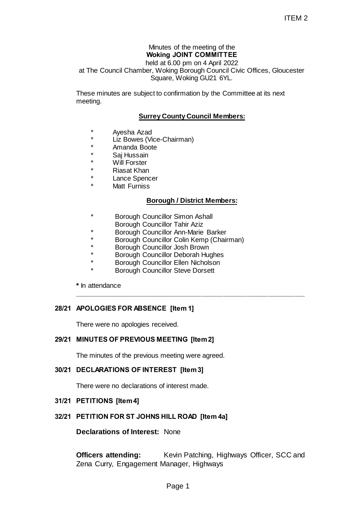#### Minutes of the meeting of the **Woking JOINT COMMITTEE** held at 6.00 pm on 4 April 2022

at The Council Chamber, Woking Borough Council Civic Offices, Gloucester Square, Woking GU21 6YL. ITEM 2<br>
ITEM 2<br>
g JOINT COMMITTEE<br>
6.00 pm on 4 April 2022<br>
ing Borough Council Civic Offices, Gloucester<br>
ce, Woking GU21 6YL.<br>
confirmation by the Committee at its next<br>
confirmation by the Committee at its next<br>
confirm

These minutes are subject to confirmation by the Committee at its next meeting.

# **Surrey County Council Members:**

- Ayesha Azad
- \* Liz Bowes (Vice-Chairman)
- \* Amanda Boote<br>\* Sai Hussain
- \* Saj Hussain<br>\* Mill Ferster
- **Will Forster**
- **Riasat Khan**
- Lance Spencer
- **Matt Furniss**

### **Borough / District Members:**

**\_\_\_\_\_\_\_\_\_\_\_\_\_\_\_\_\_\_\_\_\_\_\_\_\_\_\_\_\_\_\_\_\_\_\_\_\_\_\_\_\_\_\_\_\_\_\_\_\_\_\_\_\_\_\_\_\_\_\_\_\_\_**

- **Borough Councillor Simon Ashall**
- Borough Councillor Tahir Aziz
- \* Borough Councillor Ann-Marie Barker
- \* Borough Councillor Colin Kemp (Chairman)
- Borough Councillor Josh Brown
- Borough Councillor Deborah Hughes
- Borough Councillor Ellen Nicholson
- **Borough Councillor Steve Dorsett**

**\*** In attendance

### **28/21 APOLOGIES FOR ABSENCE [Item 1]**

There were no apologies received.

#### **29/21 MINUTES OF PREVIOUS MEETING [Item 2]**

The minutes of the previous meeting were agreed.

### **30/21 DECLARATIONS OF INTEREST [Item 3]**

There were no declarations of interest made.

#### **31/21 PETITIONS [Item 4]**

### **32/21 PETITION FOR ST JOHNS HILL ROAD [Item 4a]**

**Declarations of Interest:** None

**Officers attending:** Kevin Patching, Highways Officer, SCC and Zena Curry, Engagement Manager, Highways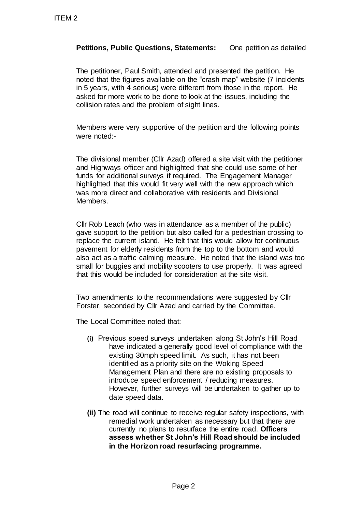# **Petitions, Public Questions, Statements:** One petition as detailed

The petitioner, Paul Smith, attended and presented the petition. He noted that the figures available on the "crash map" website (7 incidents in 5 years, with 4 serious) were different from those in the report. He asked for more work to be done to look at the issues, including the collision rates and the problem of sight lines.

Members were very supportive of the petition and the following points were noted:-

The divisional member (Cllr Azad) offered a site visit with the petitioner and Highways officer and highlighted that she could use some of her funds for additional surveys if required. The Engagement Manager highlighted that this would fit very well with the new approach which was more direct and collaborative with residents and Divisional Members.

Cllr Rob Leach (who was in attendance as a member of the public) gave support to the petition but also called for a pedestrian crossing to replace the current island. He felt that this would allow for continuous pavement for elderly residents from the top to the bottom and would also act as a traffic calming measure. He noted that the island was too small for buggies and mobility scooters to use properly. It was agreed that this would be included for consideration at the site visit.

Two amendments to the recommendations were suggested by Cllr Forster, seconded by Cllr Azad and carried by the Committee.

The Local Committee noted that:

- **(i)** Previous speed surveys undertaken along St John's Hill Road have indicated a generally good level of compliance with the existing 30mph speed limit. As such, it has not been identified as a priority site on the Woking Speed Management Plan and there are no existing proposals to introduce speed enforcement / reducing measures. However, further surveys will be undertaken to gather up to date speed data. TTEM 2<br>
Petitions, Public Questions, Stater<br>
The petitioner, Paul Smith, attended<br>
noted that the figures available on the<br>
in 5 years, with 4 seriously were different<br>
asked for more work to be done to loo<br>
collision rate
	- **(ii)** The road will continue to receive regular safety inspections, with remedial work undertaken as necessary but that there are currently no plans to resurface the entire road. **Officers assess whether St John's Hill Road should be included in the Horizon road resurfacing programme.**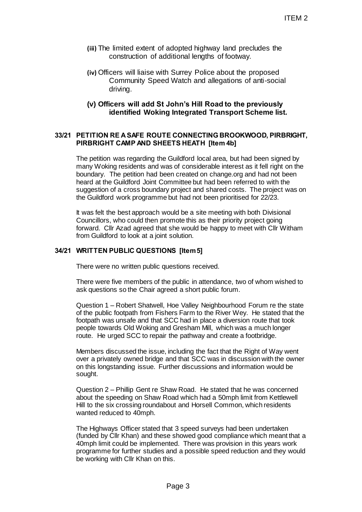- **(iii)** The limited extent of adopted highway land precludes the construction of additional lengths of footway.
- **(iv)** Officers will liaise with Surrey Police about the proposed Community Speed Watch and allegations of anti-social driving.

### **(v) Officers will add St John's Hill Road to the previously identified Woking Integrated Transport Scheme list.**

### **33/21 PETITION RE A SAFE ROUTE CONNECTING BROOKWOOD, PIRBRIGHT, PIRBRIGHT CAMP AND SHEETS HEATH [Item 4b]**

The petition was regarding the Guildford local area, but had been signed by many Woking residents and was of considerable interest as it fell right on the boundary. The petition had been created on change.org and had not been heard at the Guildford Joint Committee but had been referred to with the suggestion of a cross boundary project and shared costs. The project was on the Guildford work programme but had not been prioritised for 22/23. ITEM 2<br>adopted highway land precludes the<br>didional lengths of footway.<br>Surrey Police about the proposed<br>3 IVatch and allegations of anti-social<br>3 IVatch and allegations of anti-social<br>3 Integrated Transport Scheme list.<br>E

It was felt the best approach would be a site meeting with both Divisional Councillors, who could then promote this as their priority project going forward. Cllr Azad agreed that she would be happy to meet with Cllr Witham from Guildford to look at a joint solution.

### **34/21 WRITTEN PUBLIC QUESTIONS [Item 5]**

There were no written public questions received.

There were five members of the public in attendance, two of whom wished to ask questions so the Chair agreed a short public forum.

Question 1 – Robert Shatwell, Hoe Valley Neighbourhood Forum re the state of the public footpath from Fishers Farm to the River Wey. He stated that the footpath was unsafe and that SCC had in place a diversion route that took people towards Old Woking and Gresham Mill, which was a much longer route. He urged SCC to repair the pathway and create a footbridge.

Members discussed the issue, including the fact that the Right of Way went over a privately owned bridge and that SCC was in discussion with the owner on this longstanding issue. Further discussions and information would be sought.

Question 2 – Phillip Gent re Shaw Road. He stated that he was concerned about the speeding on Shaw Road which had a 50mph limit from Kettlewell Hill to the six crossing roundabout and Horsell Common, which residents wanted reduced to 40mph.

The Highways Officer stated that 3 speed surveys had been undertaken (funded by Cllr Khan) and these showed good compliance which meant that a 40mph limit could be implemented. There was provision in this years work programme for further studies and a possible speed reduction and they would be working with Cllr Khan on this.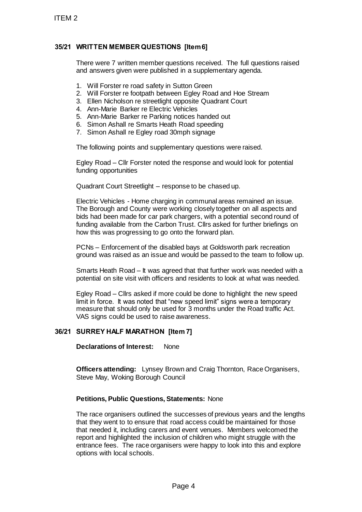# **35/21 WRITTEN MEMBERQUESTIONS [Item 6]**

There were 7 written member questions received. The full questions raised and answers given were published in a supplementary agenda.

- 1. Will Forster re road safety in Sutton Green
- 2. Will Forster re footpath between Egley Road and Hoe Stream
- 3. Ellen Nicholson re streetlight opposite Quadrant Court
- 4. Ann-Marie Barker re Electric Vehicles
- 5. Ann-Marie Barker re Parking notices handed out
- 6. Simon Ashall re Smarts Heath Road speeding
- 7. Simon Ashall re Egley road 30mph signage

The following points and supplementary questions were raised.

Egley Road – Cllr Forster noted the response and would look for potential funding opportunities

Quadrant Court Streetlight – response to be chased up.

Electric Vehicles - Home charging in communal areas remained an issue. The Borough and County were working closely together on all aspects and bids had been made for car park chargers, with a potential second round of funding available from the Carbon Trust. Cllrs asked for further briefings on how this was progressing to go onto the forward plan.

PCNs – Enforcement of the disabled bays at Goldsworth park recreation ground was raised as an issue and would be passed to the team to follow up.

Smarts Heath Road – It was agreed that that further work was needed with a potential on site visit with officers and residents to look at what was needed.

Egley Road – Cllrs asked if more could be done to highlight the new speed limit in force. It was noted that "new speed limit" signs were a temporary measure that should only be used for 3 months under the Road traffic Act. VAS signs could be used to raise awareness.

### **36/21 SURREY HALF MARATHON [Item 7]**

**Declarations of Interest:** None

**Officers attending:** Lynsey Brown and Craig Thornton, Race Organisers, Steve May, Woking Borough Council

### **Petitions, Public Questions, Statements:** None

The race organisers outlined the successes of previous years and the lengths that they went to to ensure that road access could be maintained for those that needed it, including carers and event venues. Members welcomed the report and highlighted the inclusion of children who might struggle with the entrance fees. The race organisers were happy to look into this and explore options with local schools. ITEM 2<br>
35/21 WRITTEN MEMBER QUESTIONS [Ite<br>
There were 7 written member questions<br>
and answers given were published in a start<br>
1. Will Forster re rods at start in Sutton<br>
2. Will Forster re declared by insulting that<br>
4.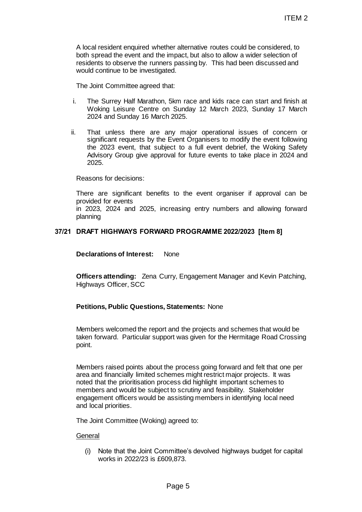A local resident enquired whether alternative routes could be considered, to both spread the event and the impact, but also to allow a wider selection of residents to observe the runners passing by. This had been discussed and would continue to be investigated.

The Joint Committee agreed that:

- i. The Surrey Half Marathon, 5km race and kids race can start and finish at Woking Leisure Centre on Sunday 12 March 2023, Sunday 17 March 2024 and Sunday 16 March 2025.
- ii. That unless there are any major operational issues of concern or significant requests by the Event Organisers to modify the event following the 2023 event, that subject to a full event debrief, the Woking Safety Advisory Group give approval for future events to take place in 2024 and 2025.

Reasons for decisions:

There are significant benefits to the event organiser if approval can be provided for events

in 2023, 2024 and 2025, increasing entry numbers and allowing forward planning

## **37/21 DRAFT HIGHWAYS FORWARD PROGRAMME 2022/2023 [Item 8]**

**Declarations of Interest:** None

**Officers attending:** Zena Curry, Engagement Manager and Kevin Patching, Highways Officer, SCC

### **Petitions, Public Questions, Statements:** None

Members welcomed the report and the projects and schemes that would be taken forward. Particular support was given for the Hermitage Road Crossing point.

Members raised points about the process going forward and felt that one per area and financially limited schemes might restrict major projects. It was noted that the prioritisation process did highlight important schemes to members and would be subject to scrutiny and feasibility. Stakeholder engagement officers would be assisting members in identifying local need and local priorities. ITEM 2<br>
IFM and the control of the considered, to<br>
impact, but also to allow a wider selection of<br>
rs passing by. This had been discussed and<br>
at.<br>
at Skm race and kids race can start and finish at<br>
at.<br>
The Sunday 12 Marc

The Joint Committee (Woking) agreed to:

#### **General**

(i) Note that the Joint Committee's devolved highways budget for capital works in 2022/23 is £609,873.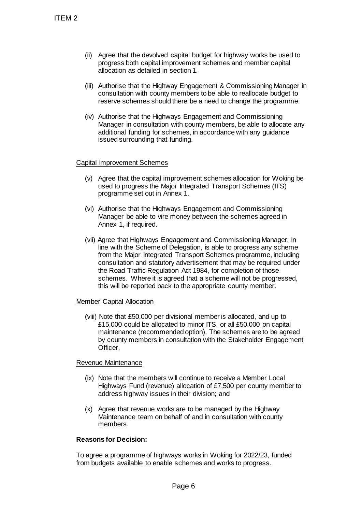- (ii) Agree that the devolved capital budget for highway works be used to progress both capital improvement schemes and member capital allocation as detailed in section 1.
- (iii) Authorise that the Highway Engagement & Commissioning Manager in consultation with county members to be able to reallocate budget to reserve schemes should there be a need to change the programme.
- (iv) Authorise that the Highways Engagement and Commissioning Manager in consultation with county members, be able to allocate any additional funding for schemes, in accordance with any guidance issued surrounding that funding.

### Capital Improvement Schemes

- (v) Agree that the capital improvement schemes allocation for Woking be used to progress the Major Integrated Transport Schemes (ITS) programme set out in Annex 1.
- (vi) Authorise that the Highways Engagement and Commissioning Manager be able to vire money between the schemes agreed in Annex 1, if required.
- (vii) Agree that Highways Engagement and Commissioning Manager, in line with the Scheme of Delegation, is able to progress any scheme from the Major Integrated Transport Schemes programme, including consultation and statutory advertisement that may be required under the Road Traffic Regulation Act 1984, for completion of those schemes. Where it is agreed that a scheme will not be progressed, this will be reported back to the appropriate county member. TTEM 2<br>
(ii) Agree that the devolved capital invorvements alto<br>
progress both capital improvements altower that the Highway Erng<br>
(iii) Authorise that the Highways Empty<br>
consultation with county member<br>
reserve schemes sh

#### Member Capital Allocation

(viii) Note that £50,000 per divisional member is allocated, and up to £15,000 could be allocated to minor ITS, or all £50,000 on capital maintenance (recommended option). The schemes are to be agreed by county members in consultation with the Stakeholder Engagement Officer.

#### Revenue Maintenance

- (ix) Note that the members will continue to receive a Member Local Highways Fund (revenue) allocation of £7,500 per county member to address highway issues in their division; and
- (x) Agree that revenue works are to be managed by the Highway Maintenance team on behalf of and in consultation with county members.

### **Reasons for Decision:**

To agree a programme of highways works in Woking for 2022/23, funded from budgets available to enable schemes and works to progress.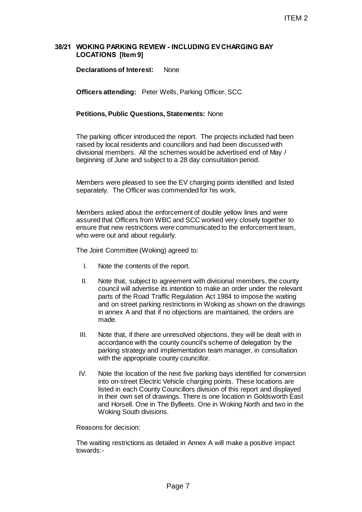### **38/21 WOKING PARKING REVIEW - INCLUDING EVCHARGING BAY LOCATIONS [Item 9]**

**Declarations of Interest:** None

**Officers attending:** Peter Wells, Parking Officer, SCC

#### **Petitions, Public Questions, Statements:** None

The parking officer introduced the report. The projects included had been raised by local residents and councillors and had been discussed with divisional members. All the schemes would be advertised end of May / beginning of June and subject to a 28 day consultation period.

Members were pleased to see the EV charging points identified and listed separately. The Officer was commended for his work.

Members asked about the enforcement of double yellow lines and were assured that Officers from WBC and SCC worked very closely together to ensure that new restrictions were communicated to the enforcement team, who were out and about regularly.

The Joint Committee (Woking) agreed to:

- I. Note the contents of the report.
- II. Note that, subject to agreement with divisional members, the county council will advertise its intention to make an order under the relevant parts of the Road Traffic Regulation Act 1984 to impose the waiting and on street parking restrictions in Woking as shown on the drawings in annex A and that if no objections are maintained, the orders are made.
- III. Note that, if there are unresolved objections, they will be dealt with in accordance with the county council's scheme of delegation by the parking strategy and implementation team manager, in consultation with the appropriate county councillor.
- IV. Note the location of the next five parking bays identified for conversion into on-street Electric Vehicle charging points. These locations are listed in each County Councillors division of this report and displayed in their own set of drawings. There is one location in Goldsworth East and Horsell. One in The Byfleets. One in Woking North and two in the Woking South divisions. ITEM 2<br>
FIRM 2<br>
Hone<br>
ells, Parking Officer, SCC<br>
Statements: None<br>
the report. The projects included had been<br>
nemes would be advertised end of May /<br>
hemes would be advertised end of May /<br>
to a 28 day consultation perio

Reasons for decision:

The waiting restrictions as detailed in Annex A will make a positive impact towards:-